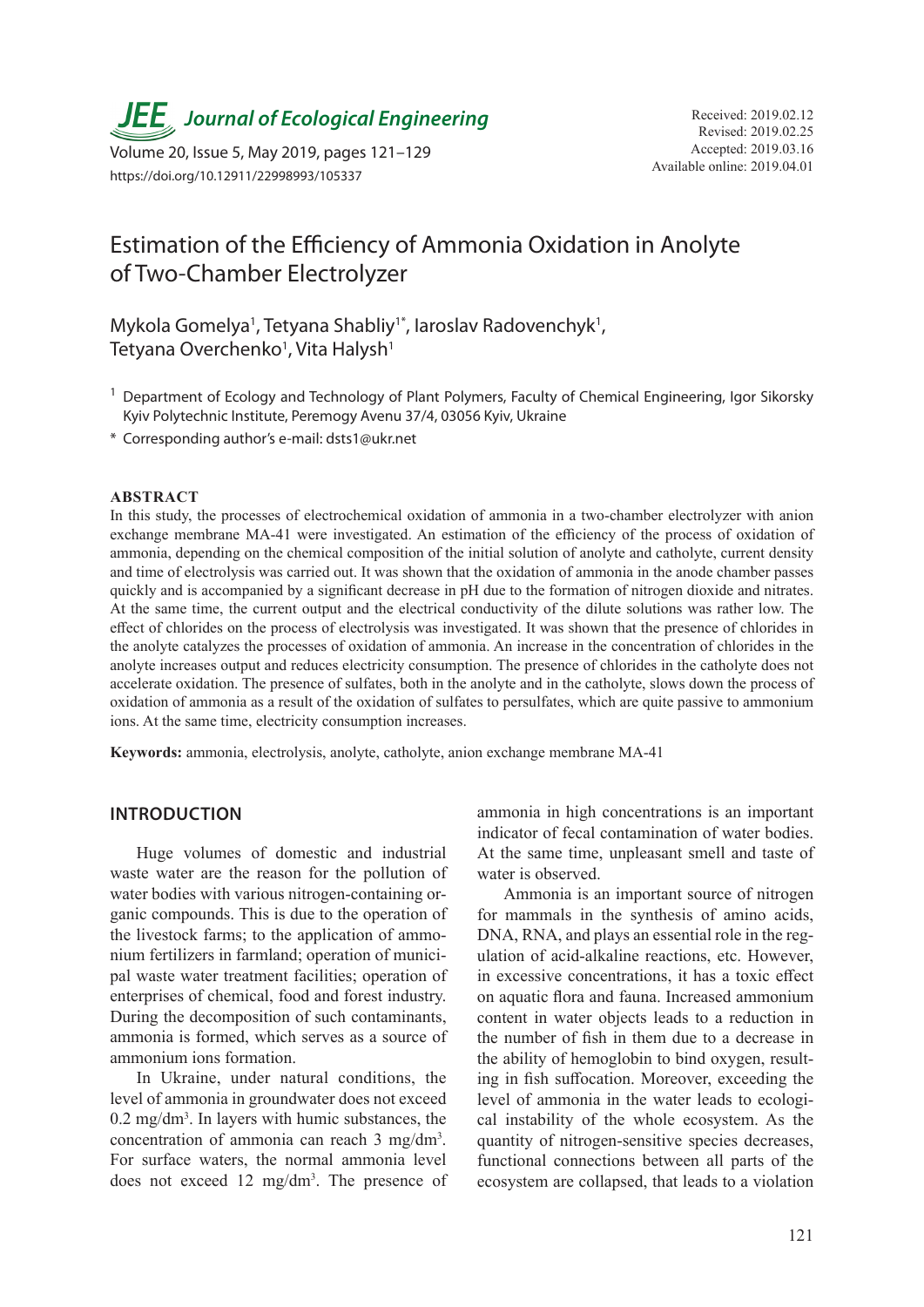**JEE** Journal of Ecological Engineering Received: 2019.02.12

Available online: 2019.04.01 Volume 20, Issue 5, May 2019, pages 121–129 https://doi.org/10.12911/22998993/105337

# Estimation of the Efficiency of Ammonia Oxidation in Anolyte of Two-Chamber Electrolyzer

Mykola Gomelya<sup>1</sup>, Tetyana Shabliy<sup>1\*</sup>, Iaroslav Radovenchyk<sup>1</sup>, Tetyana Overchenko<sup>1</sup>, Vita Halysh<sup>1</sup>

- <sup>1</sup> Department of Ecology and Technology of Plant Polymers, Faculty of Chemical Engineering, Igor Sikorsky Kyiv Polytechnic Institute, Peremogy Avenu 37/4, 03056 Kyiv, Ukraine
- \* Corresponding author's e-mail: dsts1@ukr.net

#### **ABSTRACT**

In this study, the processes of electrochemical oxidation of ammonia in a two-chamber electrolyzer with anion exchange membrane MA-41 were investigated. An estimation of the efficiency of the process of oxidation of ammonia, depending on the chemical composition of the initial solution of anolyte and catholyte, current density and time of electrolysis was carried out. It was shown that the oxidation of ammonia in the anode chamber passes quickly and is accompanied by a significant decrease in pH due to the formation of nitrogen dioxide and nitrates. At the same time, the current output and the electrical conductivity of the dilute solutions was rather low. The effect of chlorides on the process of electrolysis was investigated. It was shown that the presence of chlorides in the anolyte catalyzes the processes of oxidation of ammonia. An increase in the concentration of chlorides in the anolyte increases output and reduces electricity consumption. The presence of chlorides in the catholyte does not accelerate oxidation. The presence of sulfates, both in the anolyte and in the catholyte, slows down the process of oxidation of ammonia as a result of the oxidation of sulfates to persulfates, which are quite passive to ammonium ions. At the same time, electricity consumption increases.

**Keywords:** ammonia, electrolysis, anolyte, catholyte, anion exchange membrane MA-41

#### **INTRODUCTION**

Huge volumes of domestic and industrial waste water are the reason for the pollution of water bodies with various nitrogen-containing organic compounds. This is due to the operation of the livestock farms; to the application of ammonium fertilizers in farmland; operation of municipal waste water treatment facilities; operation of enterprises of chemical, food and forest industry. During the decomposition of such contaminants, ammonia is formed, which serves as a source of ammonium ions formation.

In Ukraine, under natural conditions, the level of ammonia in groundwater does not exceed 0.2 mg/dm3 . In layers with humic substances, the concentration of ammonia can reach 3 mg/dm3 . For surface waters, the normal ammonia level does not exceed 12 mg/dm3 . The presence of ammonia in high concentrations is an important indicator of fecal contamination of water bodies. At the same time, unpleasant smell and taste of water is observed.

Ammonia is an important source of nitrogen for mammals in the synthesis of amino acids, DNA, RNA, and plays an essential role in the regulation of acid-alkaline reactions, etc. However, in excessive concentrations, it has a toxic effect on aquatic flora and fauna. Increased ammonium content in water objects leads to a reduction in the number of fish in them due to a decrease in the ability of hemoglobin to bind oxygen, resulting in fish suffocation. Moreover, exceeding the level of ammonia in the water leads to ecological instability of the whole ecosystem. As the quantity of nitrogen-sensitive species decreases, functional connections between all parts of the ecosystem are collapsed, that leads to a violation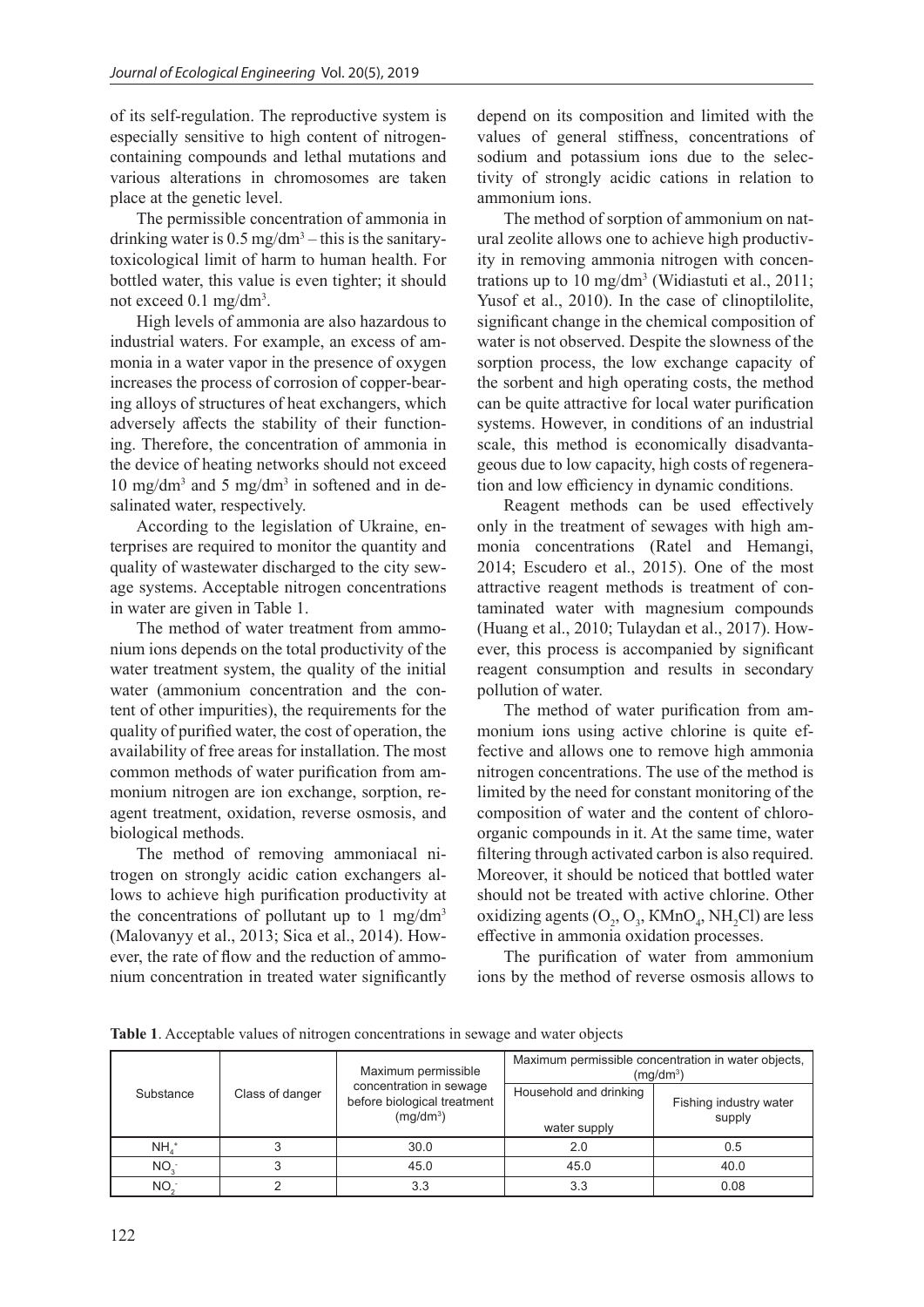of its self-regulation. The reproductive system is especially sensitive to high content of nitrogencontaining compounds and lethal mutations and various alterations in chromosomes are taken place at the genetic level.

The permissible concentration of ammonia in drinking water is  $0.5 \text{ mg/dm}^3$  – this is the sanitarytoxicological limit of harm to human health. For bottled water, this value is even tighter; it should not exceed 0.1 mg/dm<sup>3</sup>.

High levels of ammonia are also hazardous to industrial waters. For example, an excess of ammonia in a water vapor in the presence of oxygen increases the process of corrosion of copper-bearing alloys of structures of heat exchangers, which adversely affects the stability of their functioning. Therefore, the concentration of ammonia in the device of heating networks should not exceed 10 mg/dm3 and 5 mg/dm3 in softened and in desalinated water, respectively.

According to the legislation of Ukraine, enterprises are required to monitor the quantity and quality of wastewater discharged to the city sewage systems. Acceptable nitrogen concentrations in water are given in Table 1.

The method of water treatment from ammonium ions depends on the total productivity of the water treatment system, the quality of the initial water (ammonium concentration and the content of other impurities), the requirements for the quality of purified water, the cost of operation, the availability of free areas for installation. The most common methods of water purification from ammonium nitrogen are ion exchange, sorption, reagent treatment, oxidation, reverse osmosis, and biological methods.

The method of removing ammoniacal nitrogen on strongly acidic cation exchangers allows to achieve high purification productivity at the concentrations of pollutant up to 1 mg/dm<sup>3</sup> (Malovanyy et al., 2013; Sica et al., 2014). However, the rate of flow and the reduction of ammonium concentration in treated water significantly depend on its composition and limited with the values of general stiffness, concentrations of sodium and potassium ions due to the selectivity of strongly acidic cations in relation to ammonium ions.

The method of sorption of ammonium on natural zeolite allows one to achieve high productivity in removing ammonia nitrogen with concentrations up to 10 mg/dm3 (Widiastuti et al., 2011; Yusof et al., 2010). In the case of clinoptilolite, significant change in the chemical composition of water is not observed. Despite the slowness of the sorption process, the low exchange capacity of the sorbent and high operating costs, the method can be quite attractive for local water purification systems. However, in conditions of an industrial scale, this method is economically disadvantageous due to low capacity, high costs of regeneration and low efficiency in dynamic conditions.

Reagent methods can be used effectively only in the treatment of sewages with high ammonia concentrations (Ratel and Hemangi, 2014; Escudero et al., 2015). One of the most attractive reagent methods is treatment of contaminated water with magnesium compounds (Huang et al., 2010; Tulaydan et al., 2017). However, this process is accompanied by significant reagent consumption and results in secondary pollution of water.

The method of water purification from ammonium ions using active chlorine is quite effective and allows one to remove high ammonia nitrogen concentrations. The use of the method is limited by the need for constant monitoring of the composition of water and the content of chloroorganic compounds in it. At the same time, water filtering through activated carbon is also required. Moreover, it should be noticed that bottled water should not be treated with active chlorine. Other oxidizing agents  $(O_2, O_3, KMnO_4, NH_2Cl)$  are less effective in ammonia oxidation processes.

The purification of water from ammonium ions by the method of reverse osmosis allows to

**Table 1**. Acceptable values of nitrogen concentrations in sewage and water objects

|                    |                 | Maximum permissible                                                             | Maximum permissible concentration in water objects,<br>(mq/dm <sup>3</sup> ) |                                  |  |
|--------------------|-----------------|---------------------------------------------------------------------------------|------------------------------------------------------------------------------|----------------------------------|--|
| Substance          | Class of danger | concentration in sewage<br>before biological treatment<br>(mq/dm <sup>3</sup> ) | Household and drinking<br>water supply                                       | Fishing industry water<br>supply |  |
| $NH4$ <sup>+</sup> |                 | 30.0                                                                            | 2.0                                                                          | 0.5                              |  |
| NO <sub>3</sub>    |                 | 45.0                                                                            | 45.0                                                                         | 40.0                             |  |
| NO <sub>2</sub>    |                 | 3.3                                                                             | 3.3                                                                          | 0.08                             |  |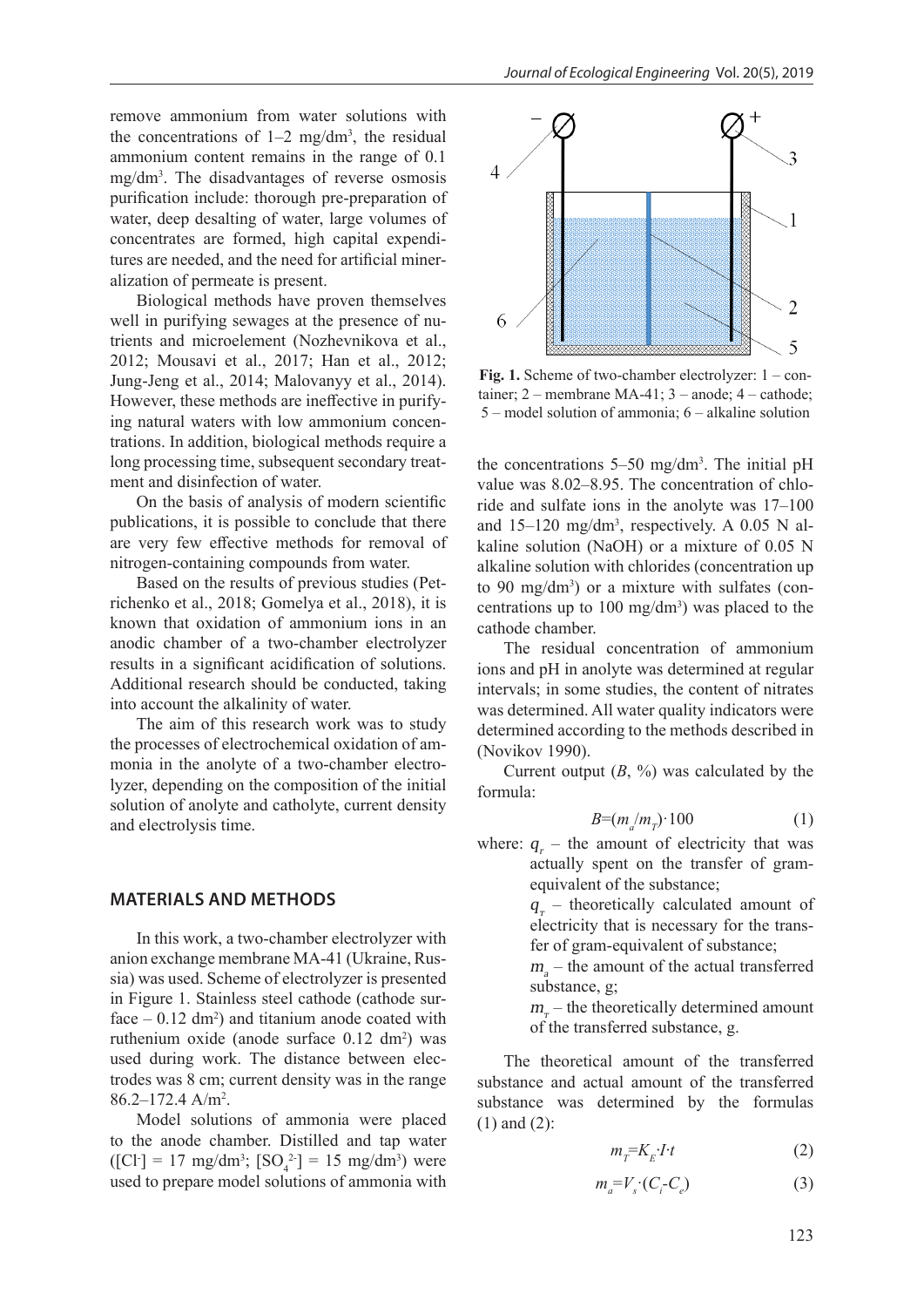remove ammonium from water solutions with the concentrations of  $1-2$  mg/dm<sup>3</sup>, the residual ammonium content remains in the range of 0.1 mg/dm3 . The disadvantages of reverse osmosis purification include: thorough pre-preparation of water, deep desalting of water, large volumes of concentrates are formed, high capital expenditures are needed, and the need for artificial mineralization of permeate is present.

Biological methods have proven themselves well in purifying sewages at the presence of nutrients and microelement (Nozhevnikova et al., 2012; Mousavi et al., 2017; Han et al., 2012; Jung-Jeng et al., 2014; Malovanyy et al., 2014). However, these methods are ineffective in purifying natural waters with low ammonium concentrations. In addition, biological methods require a long processing time, subsequent secondary treatment and disinfection of water.

On the basis of analysis of modern scientific publications, it is possible to conclude that there are very few effective methods for removal of nitrogen-containing compounds from water.

Based on the results of previous studies (Petrichenko et al., 2018; Gomelya et al., 2018), it is known that oxidation of ammonium ions in an anodic chamber of a two-chamber electrolyzer results in a significant acidification of solutions. Additional research should be conducted, taking into account the alkalinity of water.

The aim of this research work was to study the processes of electrochemical oxidation of ammonia in the anolyte of a two-chamber electrolyzer, depending on the composition of the initial solution of anolyte and catholyte, current density and electrolysis time.

#### **MATERIALS AND METHODS**

In this work, a two-chamber electrolyzer with anion exchange membrane MA-41 (Ukraine, Russia) was used. Scheme of electrolyzer is presented in Figure 1. Stainless steel cathode (cathode surface  $-0.12$  dm<sup>2</sup>) and titanium anode coated with ruthenium oxide (anode surface  $0.12 \text{ dm}^2$ ) was used during work. The distance between electrodes was 8 cm; current density was in the range  $86.2 - 172.4$  A/m<sup>2</sup>.

Model solutions of ammonia were placed to the anode chamber. Distilled and tap water  $\text{[CI$]} = 17 \text{ mg/dm}^3$ ;  $\text{[SO}_4^2$ ] = 15 mg/dm<sup>3</sup>) were used to prepare model solutions of ammonia with



**Fig. 1.** Scheme of two-chamber electrolyzer: 1 – container;  $2$  – membrane MA-41;  $3$  – anode;  $4$  – cathode; 5 – model solution of ammonia; 6 – alkaline solution

the concentrations 5–50 mg/dm3 . The initial pH value was 8.02–8.95. The concentration of chloride and sulfate ions in the anolyte was 17–100 and  $15-120$  mg/dm<sup>3</sup>, respectively. A 0.05 N alkaline solution (NaOH) or a mixture of 0.05 N alkaline solution with chlorides (concentration up to 90 mg/dm3 ) or a mixture with sulfates (concentrations up to  $100 \text{ mg/dm}^3$ ) was placed to the cathode chamber.

The residual concentration of ammonium ions and pH in anolyte was determined at regular intervals; in some studies, the content of nitrates was determined. All water quality indicators were determined according to the methods described in (Novikov 1990).

Current output  $(B, \%)$  was calculated by the formula:

$$
B=(m_a/m_T)\cdot 100\tag{1}
$$

where:  $q_{i}$  – the amount of electricity that was actually spent on the transfer of gramequivalent of the substance;

> $q_{\tau}$  – theoretically calculated amount of electricity that is necessary for the transfer of gram-equivalent of substance;

> $m_a$  – the amount of the actual transferred substance, g;

> $m<sub>r</sub>$  – the theoretically determined amount of the transferred substance, g.

The theoretical amount of the transferred substance and actual amount of the transferred substance was determined by the formulas (1) and (2):

$$
m_{\overline{r}} = K_{E} \cdot I \cdot t \tag{2}
$$

$$
m_a = V_s \cdot (C_i - C_e) \tag{3}
$$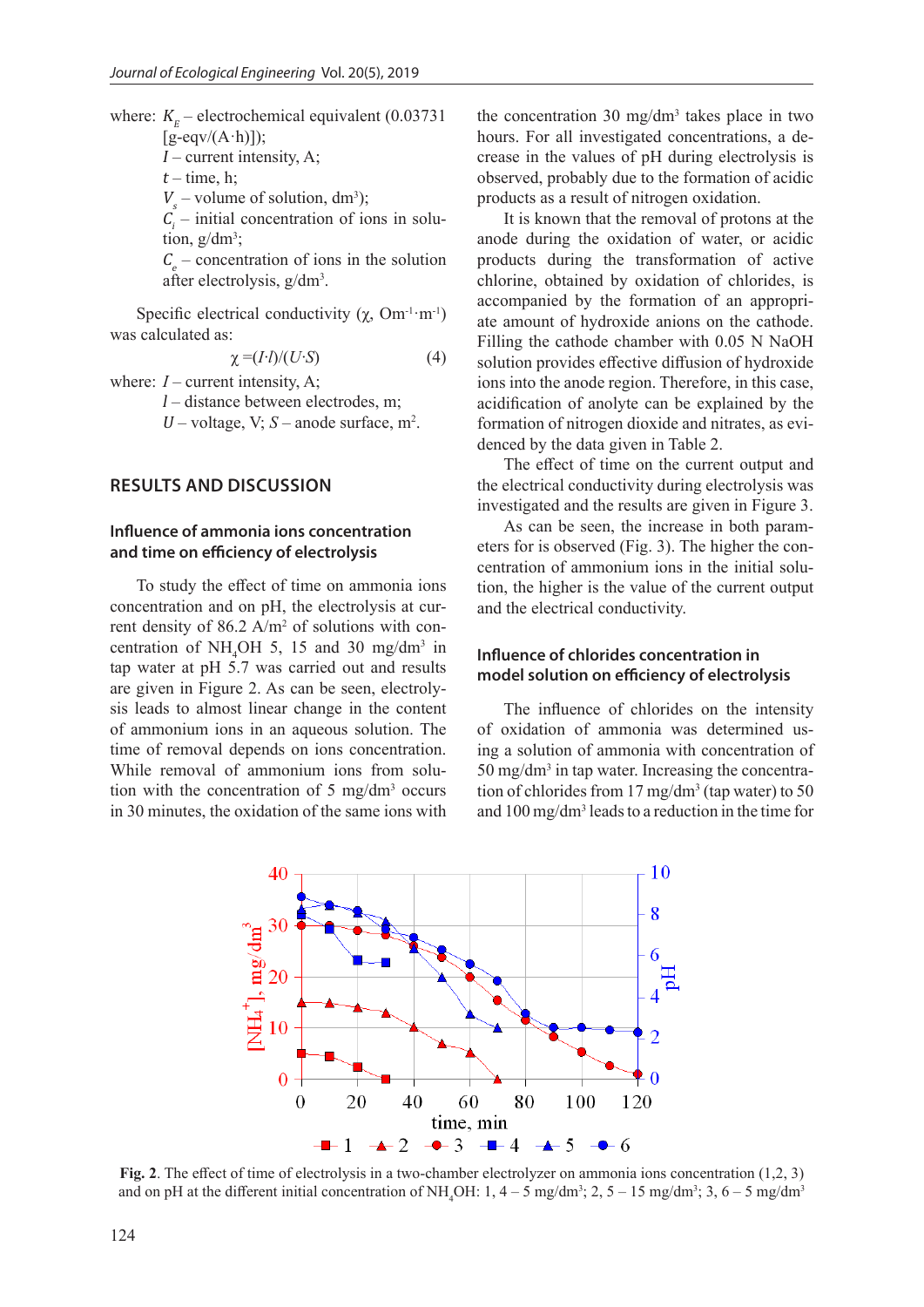where:  $K<sub>E</sub>$  – electrochemical equivalent (0.03731)  $[g\text{-}eqv/(A\cdot h)]$ ;  $I$  – current intensity, A;  $t$  – time, h;  $V_s$  – volume of solution, dm<sup>3</sup>);  $C_i$  – initial concentration of ions in solu-

tion,  $g/dm^3$ ;

 $C_e$  – concentration of ions in the solution after electrolysis, g/dm<sup>3</sup>.

Specific electrical conductivity  $(\chi, \text{Om}^{-1} \cdot \text{m}^{-1})$ was calculated as:

$$
\chi = (I \cdot I)/(U \cdot S) \tag{4}
$$

where:  $I$  – current intensity, A;

 $l$  – distance between electrodes, m;

U – voltage, V;  $S$  – anode surface,  $m^2$ .

## **RESULTS AND DISCUSSION**

## **Influence of ammonia ions concentration and time on efficiency of electrolysis**

To study the effect of time on ammonia ions concentration and on pH, the electrolysis at current density of  $86.2$  A/m<sup>2</sup> of solutions with concentration of NH<sub>4</sub>OH 5, 15 and 30 mg/dm<sup>3</sup> in tap water at pH 5.7 was carried out and results are given in Figure 2. As can be seen, electrolysis leads to almost linear change in the content of ammonium ions in an aqueous solution. The time of removal depends on ions concentration. While removal of ammonium ions from solution with the concentration of 5 mg/dm3 occurs in 30 minutes, the oxidation of the same ions with

the concentration 30 mg/dm3 takes place in two hours. For all investigated concentrations, a decrease in the values of pH during electrolysis is observed, probably due to the formation of acidic products as a result of nitrogen oxidation.

It is known that the removal of protons at the anode during the oxidation of water, or acidic products during the transformation of active chlorine, obtained by oxidation of chlorides, is accompanied by the formation of an appropriate amount of hydroxide anions on the cathode. Filling the cathode chamber with 0.05 N NaOH solution provides effective diffusion of hydroxide ions into the anode region. Therefore, in this case, acidification of anolyte can be explained by the formation of nitrogen dioxide and nitrates, as evidenced by the data given in Table 2.

The effect of time on the current output and the electrical conductivity during electrolysis was investigated and the results are given in Figure 3.

As can be seen, the increase in both parameters for is observed (Fig. 3). The higher the concentration of ammonium ions in the initial solution, the higher is the value of the current output and the electrical conductivity.

### **Influence of chlorides concentration in model solution on efficiency of electrolysis**

The influence of chlorides on the intensity of oxidation of ammonia was determined using a solution of ammonia with concentration of  $50 \text{ mg/dm}^3$  in tap water. Increasing the concentration of chlorides from  $17 \text{ mg/dm}^3$  (tap water) to 50 and 100 mg/dm3 leads to a reduction in the time for



**Fig. 2**. The effect of time of electrolysis in a two-chamber electrolyzer on ammonia ions concentration (1,2, 3) and on pH at the different initial concentration of NH<sub>4</sub>OH:  $1, 4-5$  mg/dm<sup>3</sup>;  $2, 5-15$  mg/dm<sup>3</sup>;  $3, 6-5$  mg/dm<sup>3</sup>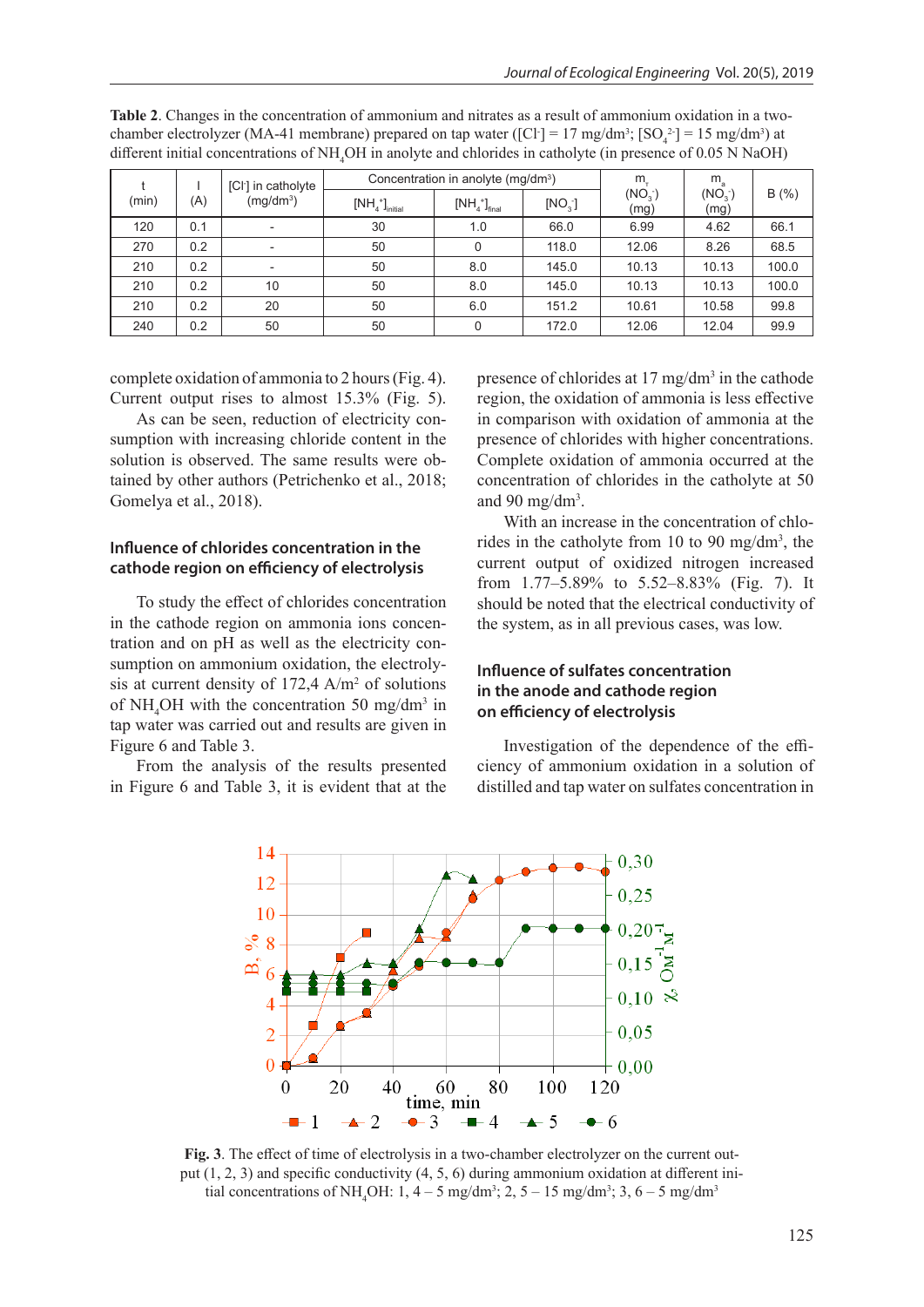| [CI] in catholyte |     | Concentration in anolyte (mg/dm <sup>3</sup> ) |                 |               | m.                 | $m_{\rm a}$                |                            |       |
|-------------------|-----|------------------------------------------------|-----------------|---------------|--------------------|----------------------------|----------------------------|-------|
| (min)             | (A) | $(mg/dm^3)$                                    | $[NH4+]initial$ | $[NH4+]final$ | [NO <sub>3</sub> ] | (NO <sub>3</sub> )<br>(mg) | (NO <sub>3</sub> )<br>(mg) | B(%)  |
| 120               | 0.1 |                                                | 30              | 1.0           | 66.0               | 6.99                       | 4.62                       | 66.1  |
| 270               | 0.2 | ٠                                              | 50              | 0             | 118.0              | 12.06                      | 8.26                       | 68.5  |
| 210               | 0.2 | ٠                                              | 50              | 8.0           | 145.0              | 10.13                      | 10.13                      | 100.0 |
| 210               | 0.2 | 10                                             | 50              | 8.0           | 145.0              | 10.13                      | 10.13                      | 100.0 |
| 210               | 0.2 | 20                                             | 50              | 6.0           | 151.2              | 10.61                      | 10.58                      | 99.8  |
| 240               | 0.2 | 50                                             | 50              |               | 172.0              | 12.06                      | 12.04                      | 99.9  |

**Table 2**. Changes in the concentration of ammonium and nitrates as a result of ammonium oxidation in a twochamber electrolyzer (MA-41 membrane) prepared on tap water ([Cl<sup>-</sup>] = 17 mg/dm<sup>3</sup>; [SO<sub>4</sub><sup>2</sup>] = 15 mg/dm<sup>3</sup>) at different initial concentrations of NH<sub>4</sub>OH in anolyte and chlorides in catholyte (in presence of 0.05 N NaOH)

complete oxidation of ammonia to 2 hours (Fig. 4). Current output rises to almost 15.3% (Fig. 5).

As can be seen, reduction of electricity consumption with increasing chloride content in the solution is observed. The same results were obtained by other authors (Petrichenko et al., 2018; Gomelya et al., 2018).

#### **Influence of chlorides concentration in the cathode region on efficiency of electrolysis**

To study the effect of chlorides concentration in the cathode region on ammonia ions concentration and on pH as well as the electricity consumption on ammonium oxidation, the electrolysis at current density of  $172,4$  A/m<sup>2</sup> of solutions of  $NH<sub>4</sub>OH$  with the concentration 50 mg/dm<sup>3</sup> in tap water was carried out and results are given in Figure 6 and Table 3.

From the analysis of the results presented in Figure 6 and Table 3, it is evident that at the presence of chlorides at 17 mg/dm<sup>3</sup> in the cathode region, the oxidation of ammonia is less effective in comparison with oxidation of ammonia at the presence of chlorides with higher concentrations. Complete oxidation of ammonia occurred at the concentration of chlorides in the catholyte at 50 and 90 mg/dm3 .

With an increase in the concentration of chlorides in the catholyte from 10 to 90 mg/dm<sup>3</sup>, the current output of oxidized nitrogen increased from 1.77–5.89% to 5.52–8.83% (Fig. 7). It should be noted that the electrical conductivity of the system, as in all previous cases, was low.

## **Influence of sulfates concentration in the anode and cathode region on efficiency of electrolysis**

Investigation of the dependence of the efficiency of ammonium oxidation in a solution of distilled and tap water on sulfates concentration in



**Fig. 3**. The effect of time of electrolysis in a two-chamber electrolyzer on the current output  $(1, 2, 3)$  and specific conductivity  $(4, 5, 6)$  during ammonium oxidation at different initial concentrations of NH<sub>4</sub>OH:  $1, 4-5$  mg/dm<sup>3</sup>;  $2, 5-15$  mg/dm<sup>3</sup>;  $3, 6-5$  mg/dm<sup>3</sup>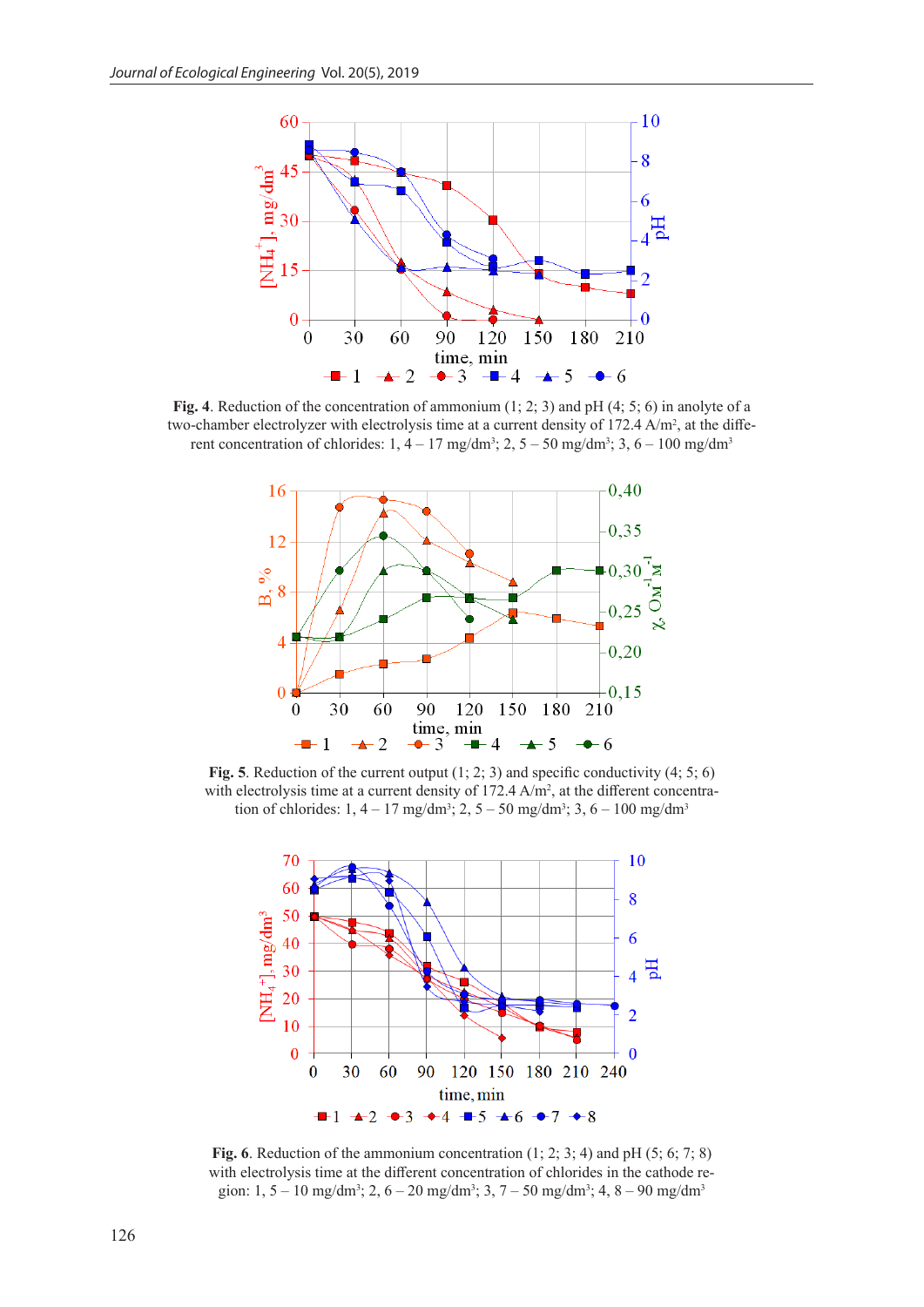

**Fig. 4**. Reduction of the concentration of ammonium (1; 2; 3) and pH (4; 5; 6) in anolyte of a two-chamber electrolyzer with electrolysis time at a current density of  $172.4 \text{ A/m}^2$ , at the different concentration of chlorides:  $1, 4 - 17$  mg/dm<sup>3</sup>;  $2, 5 - 50$  mg/dm<sup>3</sup>;  $3, 6 - 100$  mg/dm<sup>3</sup>



Fig. 5. Reduction of the current output  $(1; 2; 3)$  and specific conductivity  $(4; 5; 6)$ with electrolysis time at a current density of  $172.4 \text{ A/m}^2$ , at the different concentration of chlorides:  $1, 4 - 17 \text{ mg/dm}^3$ ;  $2, 5 - 50 \text{ mg/dm}^3$ ;  $3, 6 - 100 \text{ mg/dm}^3$ 



**Fig. 6**. Reduction of the ammonium concentration (1; 2; 3; 4) and pH (5; 6; 7; 8) with electrolysis time at the different concentration of chlorides in the cathode region: 1, 5 – 10 mg/dm<sup>3</sup>; 2, 6 – 20 mg/dm<sup>3</sup>; 3, 7 – 50 mg/dm<sup>3</sup>; 4, 8 – 90 mg/dm<sup>3</sup>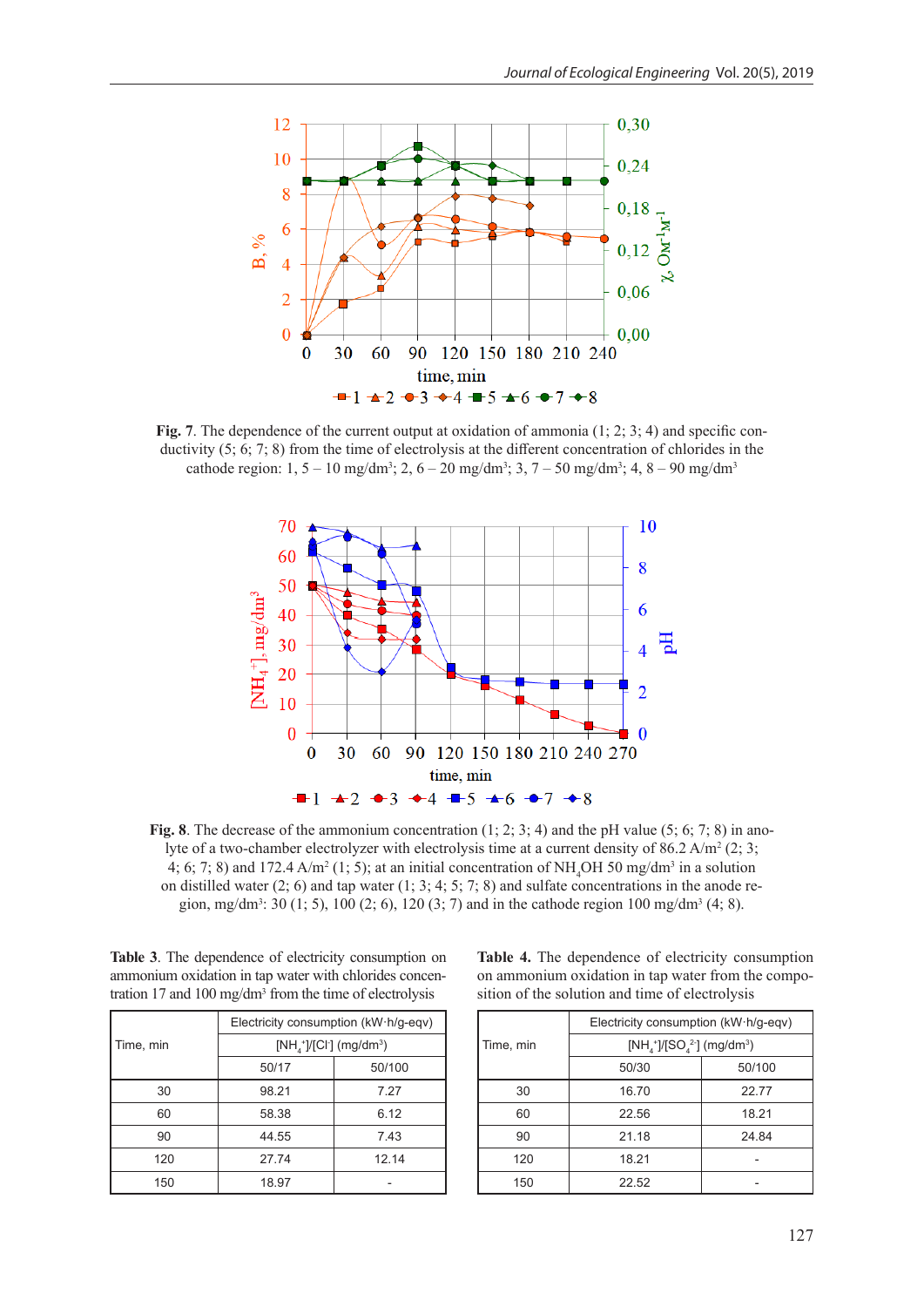

**Fig. 7**. The dependence of the current output at oxidation of ammonia  $(1; 2; 3; 4)$  and specific conductivity (5; 6; 7; 8) from the time of electrolysis at the different concentration of chlorides in the cathode region:  $1, 5 - 10$  mg/dm<sup>3</sup>;  $2, 6 - 20$  mg/dm<sup>3</sup>;  $3, 7 - 50$  mg/dm<sup>3</sup>;  $4, 8 - 90$  mg/dm<sup>3</sup>



**Fig. 8**. The decrease of the ammonium concentration (1; 2; 3; 4) and the pH value (5; 6; 7; 8) in anolyte of a two-chamber electrolyzer with electrolysis time at a current density of 86.2 A/m<sup>2</sup> (2; 3; 4; 6; 7; 8) and 172.4 A/m<sup>2</sup> (1; 5); at an initial concentration of NH<sub>4</sub>OH 50 mg/dm<sup>3</sup> in a solution on distilled water  $(2; 6)$  and tap water  $(1; 3; 4; 5; 7; 8)$  and sulfate concentrations in the anode region, mg/dm<sup>3</sup>: 30 (1; 5), 100 (2; 6), 120 (3; 7) and in the cathode region 100 mg/dm<sup>3</sup> (4; 8).

| Table 3. The dependence of electricity consumption on               |
|---------------------------------------------------------------------|
| ammonium oxidation in tap water with chlorides concen-              |
| tration 17 and 100 mg/dm <sup>3</sup> from the time of electrolysis |

|           | Electricity consumption (kW·h/g-eqv)              |        |  |
|-----------|---------------------------------------------------|--------|--|
| Time, min | $[NH_{4}^{+}]/[Cl_{2}^{+}]$ (mg/dm <sup>3</sup> ) |        |  |
|           | 50/17                                             | 50/100 |  |
| 30        | 98.21                                             | 7.27   |  |
| 60        | 58.38                                             | 6.12   |  |
| 90        | 44.55                                             | 7.43   |  |
| 120       | 27.74                                             | 12.14  |  |
| 150       | 18.97                                             |        |  |

**Table 4.** The dependence of electricity consumption on ammonium oxidation in tap water from the composition of the solution and time of electrolysis

|           | Electricity consumption (kW·h/g-eqv)      |        |  |
|-----------|-------------------------------------------|--------|--|
| Time, min | $[NH_4^+]/[SO_4^2]$ (mg/dm <sup>3</sup> ) |        |  |
|           | 50/30                                     | 50/100 |  |
| 30        | 16.70                                     | 2277   |  |
| 60        | 22.56                                     | 18.21  |  |
| 90        | 21.18                                     | 24.84  |  |
| 120       | 18.21                                     |        |  |
| 150       | 22.52                                     |        |  |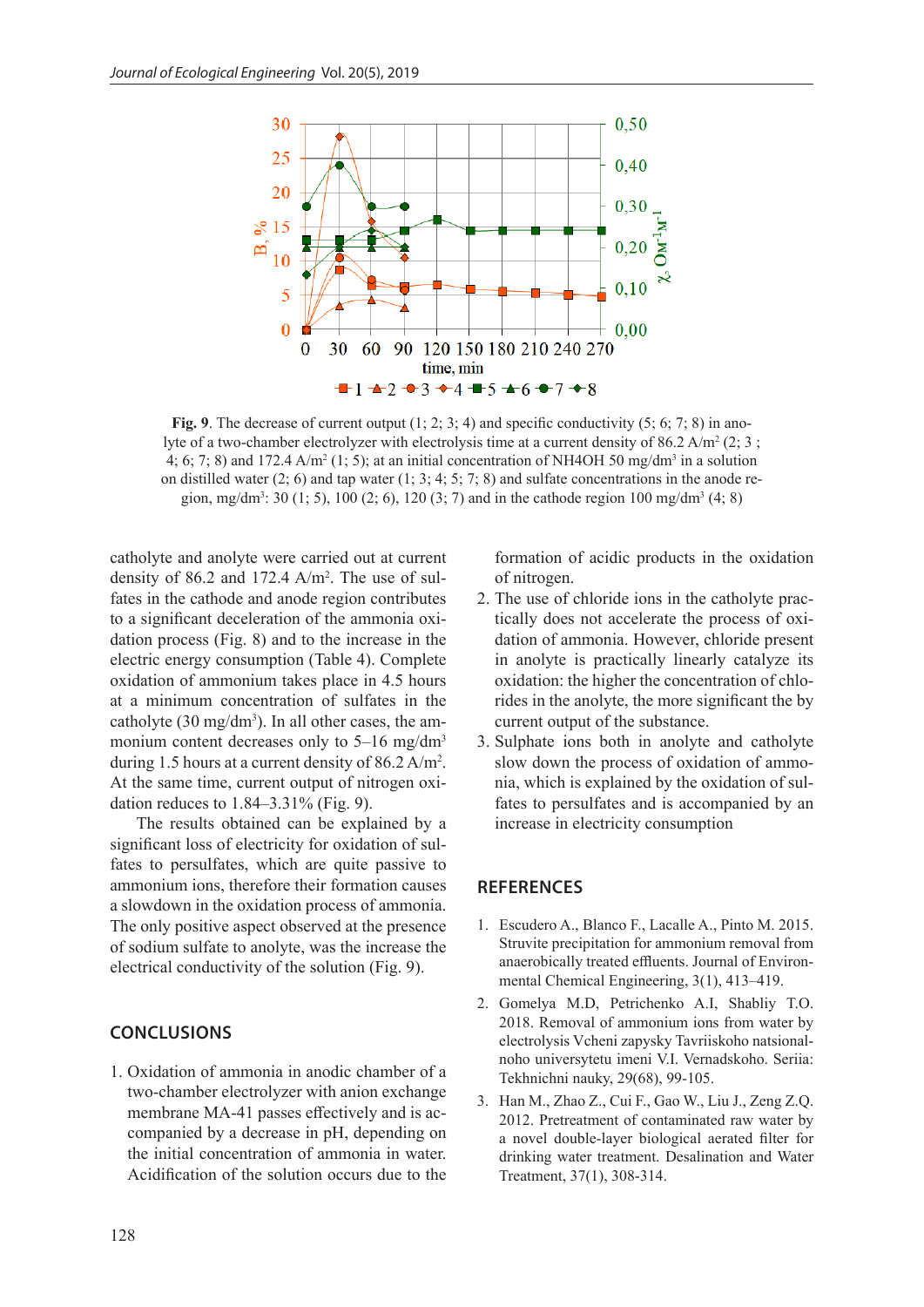

**Fig. 9**. The decrease of current output  $(1; 2; 3; 4)$  and specific conductivity  $(5; 6; 7; 8)$  in anolyte of a two-chamber electrolyzer with electrolysis time at a current density of 86.2 A/m<sup>2</sup> (2; 3; 4; 6; 7; 8) and 172.4  $A/m^2$  (1; 5); at an initial concentration of NH4OH 50 mg/dm<sup>3</sup> in a solution on distilled water  $(2, 6)$  and tap water  $(1, 3, 4, 5, 7, 8)$  and sulfate concentrations in the anode region, mg/dm<sup>3</sup>: 30 (1; 5), 100 (2; 6), 120 (3; 7) and in the cathode region 100 mg/dm<sup>3</sup> (4; 8)

catholyte and anolyte were carried out at current density of 86.2 and 172.4  $A/m^2$ . The use of sulfates in the cathode and anode region contributes to a significant deceleration of the ammonia oxidation process (Fig. 8) and to the increase in the electric energy consumption (Table 4). Complete oxidation of ammonium takes place in 4.5 hours at a minimum concentration of sulfates in the catholyte  $(30 \text{ mg/dm}^3)$ . In all other cases, the ammonium content decreases only to 5–16 mg/dm<sup>3</sup> during 1.5 hours at a current density of  $86.2 \text{ A/m}^2$ . At the same time, current output of nitrogen oxidation reduces to 1.84–3.31% (Fig. 9).

The results obtained can be explained by a significant loss of electricity for oxidation of sulfates to persulfates, which are quite passive to ammonium ions, therefore their formation causes a slowdown in the oxidation process of ammonia. The only positive aspect observed at the presence of sodium sulfate to anolyte, was the increase the electrical conductivity of the solution (Fig. 9).

## **CONCLUSIONS**

1. Oxidation of ammonia in anodic chamber of a two-chamber electrolyzer with anion exchange membrane MA-41 passes effectively and is accompanied by a decrease in pH, depending on the initial concentration of ammonia in water. Acidification of the solution occurs due to the

formation of acidic products in the oxidation of nitrogen.

- 2. The use of chloride ions in the catholyte practically does not accelerate the process of oxidation of ammonia. However, chloride present in anolyte is practically linearly catalyze its oxidation: the higher the concentration of chlorides in the anolyte, the more significant the by current output of the substance.
- 3. Sulphate ions both in anolyte and catholyte slow down the process of oxidation of ammonia, which is explained by the oxidation of sulfates to persulfates and is accompanied by an increase in electricity consumption

#### **REFERENCES**

- 1. Escudero A., Blanco F., Lacalle A., Pinto M. 2015. Struvite precipitation for ammonium removal from anaerobically treated effluents. Journal of Environmental Chemical Engineering, 3(1), 413–419.
- 2. Gomelya M.D, Petrichenko A.I, Shabliy T.O. 2018. Removal of ammonium ions from water by electrolysis Vcheni zapysky Tavriiskoho natsionalnoho universytetu imeni V.I. Vernadskoho. Seriia: Tekhnichni nauky, 29(68), 99-105.
- 3. Han M., Zhao Z., Cui F., Gao W., Liu J., Zeng Z.Q. 2012. Pretreatment of contaminated raw water by a novel double-layer biological aerated filter for drinking water treatment. Desalination and Water Treatment, 37(1), 308-314.